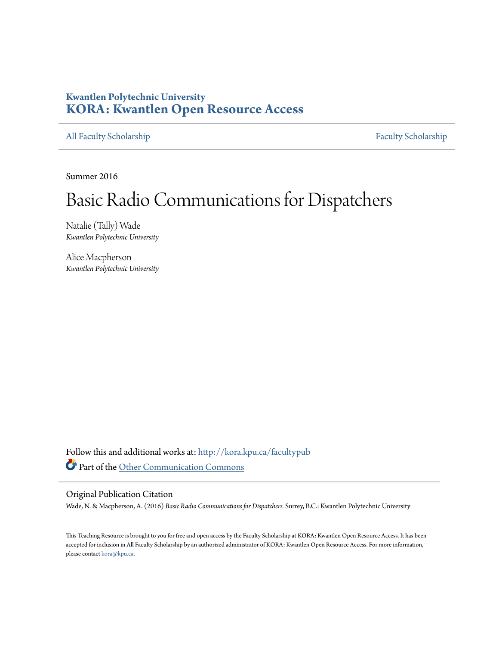# **Kwantlen Polytechnic University [KORA: Kwantlen Open Resource Access](http://kora.kpu.ca?utm_source=kora.kpu.ca%2Ffacultypub%2F88&utm_medium=PDF&utm_campaign=PDFCoverPages)**

[All Faculty Scholarship](http://kora.kpu.ca/facultypub?utm_source=kora.kpu.ca%2Ffacultypub%2F88&utm_medium=PDF&utm_campaign=PDFCoverPages) [Faculty Scholarship](http://kora.kpu.ca/faculty_scholarship?utm_source=kora.kpu.ca%2Ffacultypub%2F88&utm_medium=PDF&utm_campaign=PDFCoverPages)

Summer 2016

# Basic Radio Communications for Dispatchers

Natalie (Tally) Wade *Kwantlen Polytechnic University*

Alice Macpherson *Kwantlen Polytechnic University*

Follow this and additional works at: [http://kora.kpu.ca/facultypub](http://kora.kpu.ca/facultypub?utm_source=kora.kpu.ca%2Ffacultypub%2F88&utm_medium=PDF&utm_campaign=PDFCoverPages) Part of the [Other Communication Commons](http://network.bepress.com/hgg/discipline/339?utm_source=kora.kpu.ca%2Ffacultypub%2F88&utm_medium=PDF&utm_campaign=PDFCoverPages)

#### Original Publication Citation

Wade, N. & Macpherson, A. (2016) *Basic Radio Communications for Dispatchers.* Surrey, B.C.: Kwantlen Polytechnic University

This Teaching Resource is brought to you for free and open access by the Faculty Scholarship at KORA: Kwantlen Open Resource Access. It has been accepted for inclusion in All Faculty Scholarship by an authorized administrator of KORA: Kwantlen Open Resource Access. For more information, please contact [kora@kpu.ca.](mailto:kora@kpu.ca)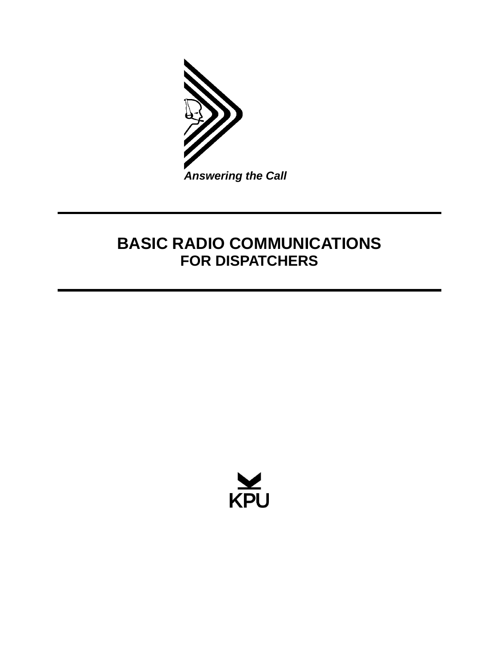

# **BASIC RADIO COMMUNICATIONS FOR DISPATCHERS**

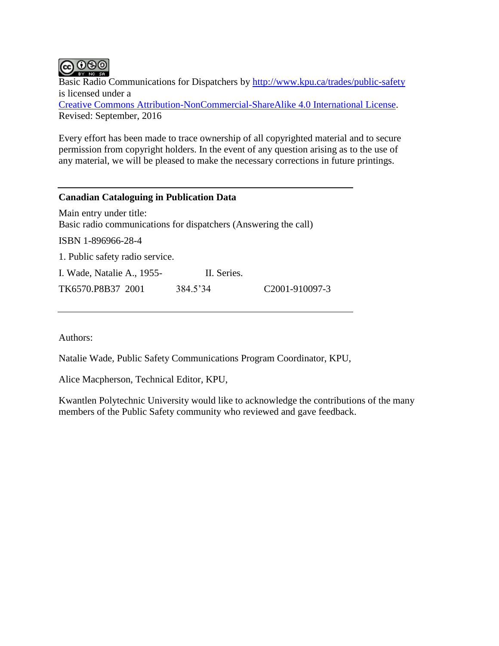

Basic Radio Communications for Dispatchers by<http://www.kpu.ca/trades/public-safety> is licensed under a [Creative Commons Attribution-NonCommercial-ShareAlike 4.0 International License.](http://creativecommons.org/licenses/by-nc-sa/4.0/) Revised: September, 2016

Every effort has been made to trace ownership of all copyrighted material and to secure permission from copyright holders. In the event of any question arising as to the use of any material, we will be pleased to make the necessary corrections in future printings.

### **Canadian Cataloguing in Publication Data**

Main entry under title: Basic radio communications for dispatchers (Answering the call) ISBN 1-896966-28-4 1. Public safety radio service. I. Wade, Natalie A., 1955- II. Series. TK6570.P8B37 2001 384.5'34 C2001-910097-3

Authors:

Natalie Wade, Public Safety Communications Program Coordinator, KPU,

Alice Macpherson, Technical Editor, KPU,

Kwantlen Polytechnic University would like to acknowledge the contributions of the many members of the Public Safety community who reviewed and gave feedback.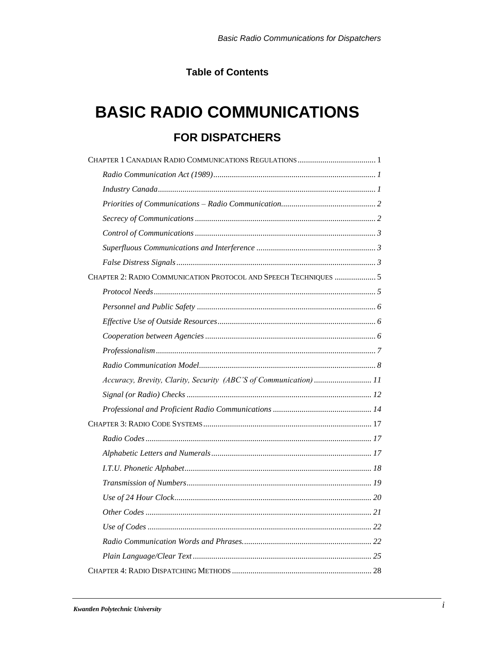# **Table of Contents**

# **BASIC RADIO COMMUNICATIONS FOR DISPATCHERS**

| CHAPTER 2: RADIO COMMUNICATION PROTOCOL AND SPEECH TECHNIQUES  5  |
|-------------------------------------------------------------------|
|                                                                   |
|                                                                   |
|                                                                   |
|                                                                   |
|                                                                   |
|                                                                   |
| Accuracy, Brevity, Clarity, Security (ABC'S of Communication)  11 |
|                                                                   |
|                                                                   |
|                                                                   |
|                                                                   |
|                                                                   |
|                                                                   |
|                                                                   |
|                                                                   |
|                                                                   |
|                                                                   |
|                                                                   |
|                                                                   |
|                                                                   |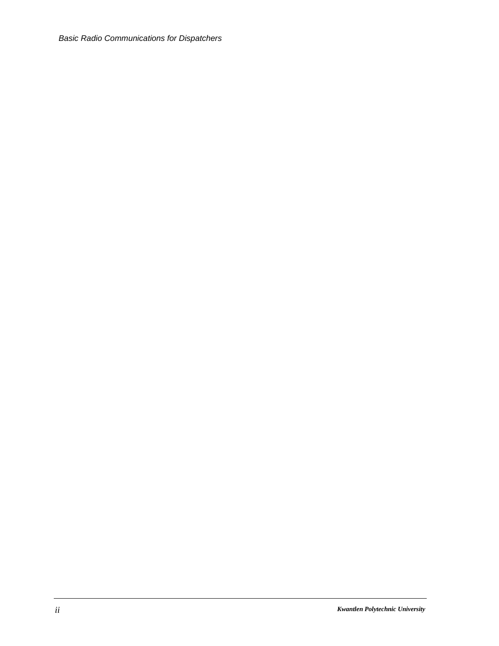*Basic Radio Communications for Dispatchers*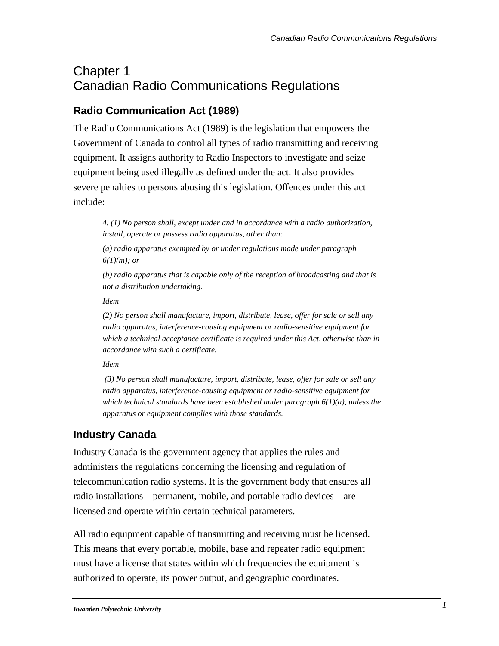# <span id="page-7-0"></span>Chapter 1 Canadian Radio Communications Regulations

# <span id="page-7-1"></span>**Radio Communication Act (1989)**

The Radio Communications Act (1989) is the legislation that empowers the Government of Canada to control all types of radio transmitting and receiving equipment. It assigns authority to Radio Inspectors to investigate and seize equipment being used illegally as defined under the act. It also provides severe penalties to persons abusing this legislation. Offences under this act include:

*4. (1) No person shall, except under and in accordance with a radio authorization, install, operate or possess radio apparatus, other than:*

*(a) radio apparatus exempted by or under regulations made under paragraph 6(1)(m); or*

*(b) radio apparatus that is capable only of the reception of broadcasting and that is not a distribution undertaking.*

*Idem* 

*(2) No person shall manufacture, import, distribute, lease, offer for sale or sell any radio apparatus, interference-causing equipment or radio-sensitive equipment for which a technical acceptance certificate is required under this Act, otherwise than in accordance with such a certificate.*

*Idem* 

*(3) No person shall manufacture, import, distribute, lease, offer for sale or sell any radio apparatus, interference-causing equipment or radio-sensitive equipment for which technical standards have been established under paragraph 6(1)(a), unless the apparatus or equipment complies with those standards.*

# <span id="page-7-2"></span>**Industry Canada**

Industry Canada is the government agency that applies the rules and administers the regulations concerning the licensing and regulation of telecommunication radio systems. It is the government body that ensures all radio installations – permanent, mobile, and portable radio devices – are licensed and operate within certain technical parameters.

All radio equipment capable of transmitting and receiving must be licensed. This means that every portable, mobile, base and repeater radio equipment must have a license that states within which frequencies the equipment is authorized to operate, its power output, and geographic coordinates.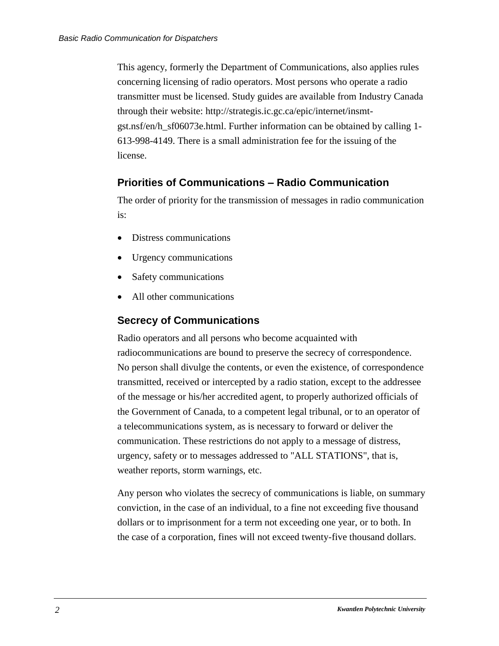This agency, formerly the Department of Communications, also applies rules concerning licensing of radio operators. Most persons who operate a radio transmitter must be licensed. Study guides are available from Industry Canada through their website: http://strategis.ic.gc.ca/epic/internet/insmtgst.nsf/en/h\_sf06073e.html. Further information can be obtained by calling 1- 613-998-4149. There is a small administration fee for the issuing of the license.

# <span id="page-8-0"></span>**Priorities of Communications – Radio Communication**

The order of priority for the transmission of messages in radio communication is:

- Distress communications
- Urgency communications
- Safety communications
- All other communications

### <span id="page-8-1"></span>**Secrecy of Communications**

Radio operators and all persons who become acquainted with radiocommunications are bound to preserve the secrecy of correspondence. No person shall divulge the contents, or even the existence, of correspondence transmitted, received or intercepted by a radio station, except to the addressee of the message or his/her accredited agent, to properly authorized officials of the Government of Canada, to a competent legal tribunal, or to an operator of a telecommunications system, as is necessary to forward or deliver the communication. These restrictions do not apply to a message of distress, urgency, safety or to messages addressed to "ALL STATIONS", that is, weather reports, storm warnings, etc.

Any person who violates the secrecy of communications is liable, on summary conviction, in the case of an individual, to a fine not exceeding five thousand dollars or to imprisonment for a term not exceeding one year, or to both. In the case of a corporation, fines will not exceed twenty-five thousand dollars.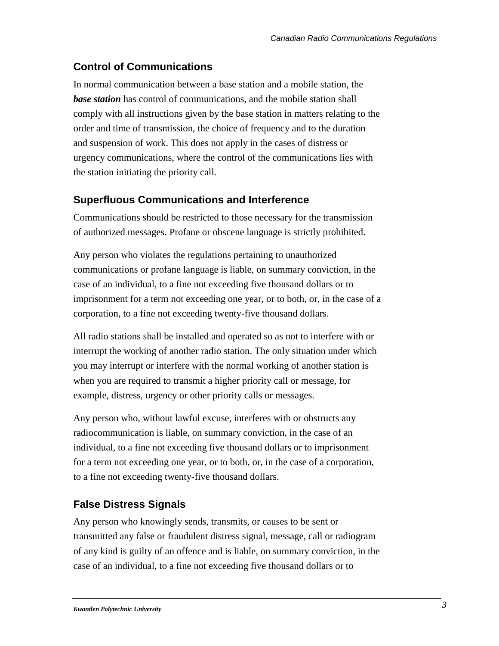# <span id="page-9-0"></span>**Control of Communications**

In normal communication between a base station and a mobile station, the *base station* has control of communications, and the mobile station shall comply with all instructions given by the base station in matters relating to the order and time of transmission, the choice of frequency and to the duration and suspension of work. This does not apply in the cases of distress or urgency communications, where the control of the communications lies with the station initiating the priority call.

# <span id="page-9-1"></span>**Superfluous Communications and Interference**

Communications should be restricted to those necessary for the transmission of authorized messages. Profane or obscene language is strictly prohibited.

Any person who violates the regulations pertaining to unauthorized communications or profane language is liable, on summary conviction, in the case of an individual, to a fine not exceeding five thousand dollars or to imprisonment for a term not exceeding one year, or to both, or, in the case of a corporation, to a fine not exceeding twenty-five thousand dollars.

All radio stations shall be installed and operated so as not to interfere with or interrupt the working of another radio station. The only situation under which you may interrupt or interfere with the normal working of another station is when you are required to transmit a higher priority call or message, for example, distress, urgency or other priority calls or messages.

Any person who, without lawful excuse, interferes with or obstructs any radiocommunication is liable, on summary conviction, in the case of an individual, to a fine not exceeding five thousand dollars or to imprisonment for a term not exceeding one year, or to both, or, in the case of a corporation, to a fine not exceeding twenty-five thousand dollars.

# <span id="page-9-2"></span>**False Distress Signals**

Any person who knowingly sends, transmits, or causes to be sent or transmitted any false or fraudulent distress signal, message, call or radiogram of any kind is guilty of an offence and is liable, on summary conviction, in the case of an individual, to a fine not exceeding five thousand dollars or to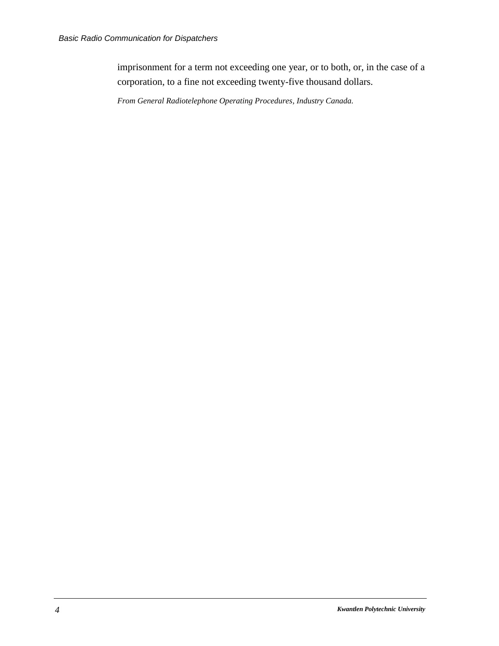imprisonment for a term not exceeding one year, or to both, or, in the case of a corporation, to a fine not exceeding twenty-five thousand dollars.

*From General Radiotelephone Operating Procedures, Industry Canada.*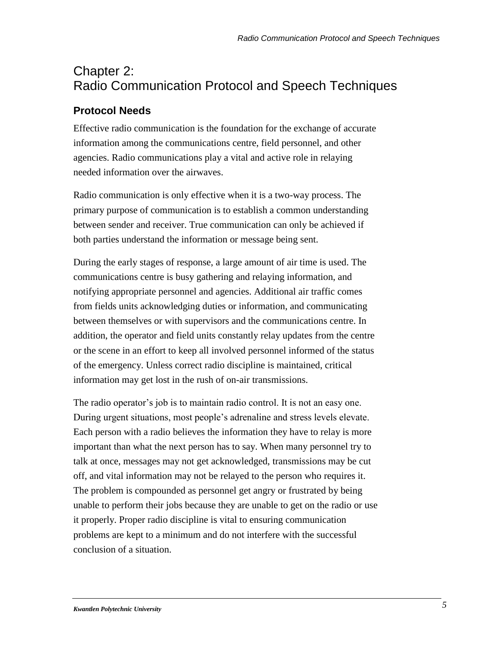# <span id="page-11-0"></span>Chapter 2: Radio Communication Protocol and Speech Techniques

# <span id="page-11-1"></span>**Protocol Needs**

Effective radio communication is the foundation for the exchange of accurate information among the communications centre, field personnel, and other agencies. Radio communications play a vital and active role in relaying needed information over the airwaves.

Radio communication is only effective when it is a two-way process. The primary purpose of communication is to establish a common understanding between sender and receiver. True communication can only be achieved if both parties understand the information or message being sent.

During the early stages of response, a large amount of air time is used. The communications centre is busy gathering and relaying information, and notifying appropriate personnel and agencies. Additional air traffic comes from fields units acknowledging duties or information, and communicating between themselves or with supervisors and the communications centre. In addition, the operator and field units constantly relay updates from the centre or the scene in an effort to keep all involved personnel informed of the status of the emergency. Unless correct radio discipline is maintained, critical information may get lost in the rush of on-air transmissions.

The radio operator's job is to maintain radio control. It is not an easy one. During urgent situations, most people's adrenaline and stress levels elevate. Each person with a radio believes the information they have to relay is more important than what the next person has to say. When many personnel try to talk at once, messages may not get acknowledged, transmissions may be cut off, and vital information may not be relayed to the person who requires it. The problem is compounded as personnel get angry or frustrated by being unable to perform their jobs because they are unable to get on the radio or use it properly. Proper radio discipline is vital to ensuring communication problems are kept to a minimum and do not interfere with the successful conclusion of a situation.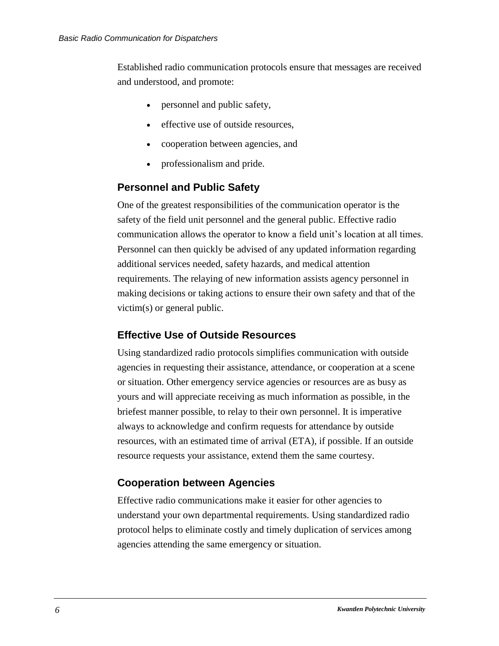Established radio communication protocols ensure that messages are received and understood, and promote:

- personnel and public safety,
- effective use of outside resources,
- cooperation between agencies, and
- professionalism and pride.

# <span id="page-12-0"></span>**Personnel and Public Safety**

One of the greatest responsibilities of the communication operator is the safety of the field unit personnel and the general public. Effective radio communication allows the operator to know a field unit's location at all times. Personnel can then quickly be advised of any updated information regarding additional services needed, safety hazards, and medical attention requirements. The relaying of new information assists agency personnel in making decisions or taking actions to ensure their own safety and that of the victim(s) or general public.

# <span id="page-12-1"></span>**Effective Use of Outside Resources**

Using standardized radio protocols simplifies communication with outside agencies in requesting their assistance, attendance, or cooperation at a scene or situation. Other emergency service agencies or resources are as busy as yours and will appreciate receiving as much information as possible, in the briefest manner possible, to relay to their own personnel. It is imperative always to acknowledge and confirm requests for attendance by outside resources, with an estimated time of arrival (ETA), if possible. If an outside resource requests your assistance, extend them the same courtesy.

# <span id="page-12-2"></span>**Cooperation between Agencies**

Effective radio communications make it easier for other agencies to understand your own departmental requirements. Using standardized radio protocol helps to eliminate costly and timely duplication of services among agencies attending the same emergency or situation.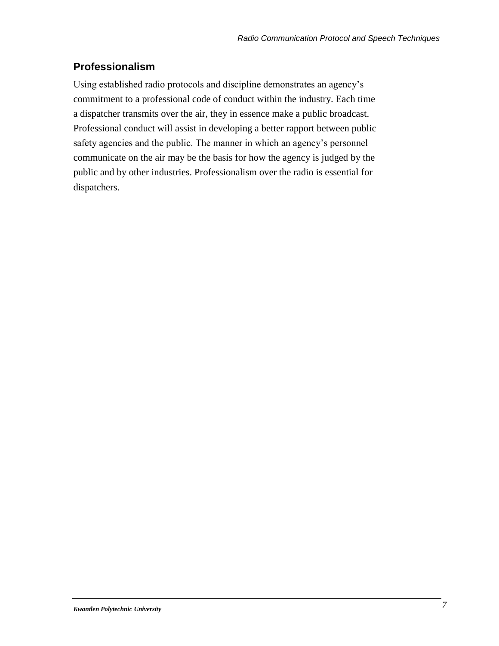# <span id="page-13-0"></span>**Professionalism**

Using established radio protocols and discipline demonstrates an agency's commitment to a professional code of conduct within the industry. Each time a dispatcher transmits over the air, they in essence make a public broadcast. Professional conduct will assist in developing a better rapport between public safety agencies and the public. The manner in which an agency's personnel communicate on the air may be the basis for how the agency is judged by the public and by other industries. Professionalism over the radio is essential for dispatchers.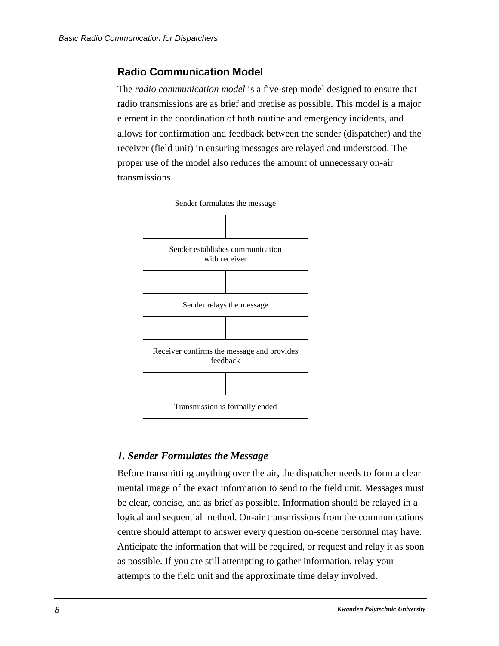# <span id="page-14-0"></span>**Radio Communication Model**

The *radio communication model* is a five-step model designed to ensure that radio transmissions are as brief and precise as possible. This model is a major element in the coordination of both routine and emergency incidents, and allows for confirmation and feedback between the sender (dispatcher) and the receiver (field unit) in ensuring messages are relayed and understood. The proper use of the model also reduces the amount of unnecessary on-air transmissions.



# *1. Sender Formulates the Message*

Before transmitting anything over the air, the dispatcher needs to form a clear mental image of the exact information to send to the field unit. Messages must be clear, concise, and as brief as possible. Information should be relayed in a logical and sequential method. On-air transmissions from the communications centre should attempt to answer every question on-scene personnel may have. Anticipate the information that will be required, or request and relay it as soon as possible. If you are still attempting to gather information, relay your attempts to the field unit and the approximate time delay involved.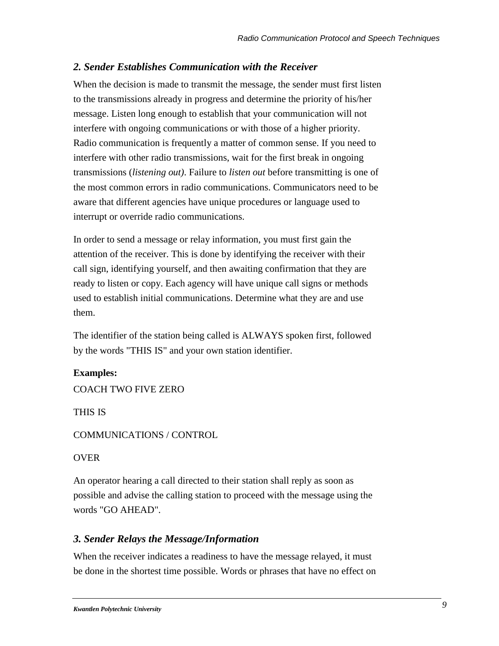# *2. Sender Establishes Communication with the Receiver*

When the decision is made to transmit the message, the sender must first listen to the transmissions already in progress and determine the priority of his/her message. Listen long enough to establish that your communication will not interfere with ongoing communications or with those of a higher priority. Radio communication is frequently a matter of common sense. If you need to interfere with other radio transmissions, wait for the first break in ongoing transmissions (*listening out)*. Failure to *listen out* before transmitting is one of the most common errors in radio communications. Communicators need to be aware that different agencies have unique procedures or language used to interrupt or override radio communications.

In order to send a message or relay information, you must first gain the attention of the receiver. This is done by identifying the receiver with their call sign, identifying yourself, and then awaiting confirmation that they are ready to listen or copy. Each agency will have unique call signs or methods used to establish initial communications. Determine what they are and use them.

The identifier of the station being called is ALWAYS spoken first, followed by the words "THIS IS" and your own station identifier.

#### **Examples:**

COACH TWO FIVE ZERO

THIS IS

COMMUNICATIONS / CONTROL

#### **OVER**

An operator hearing a call directed to their station shall reply as soon as possible and advise the calling station to proceed with the message using the words "GO AHEAD".

### *3. Sender Relays the Message/Information*

When the receiver indicates a readiness to have the message relayed, it must be done in the shortest time possible. Words or phrases that have no effect on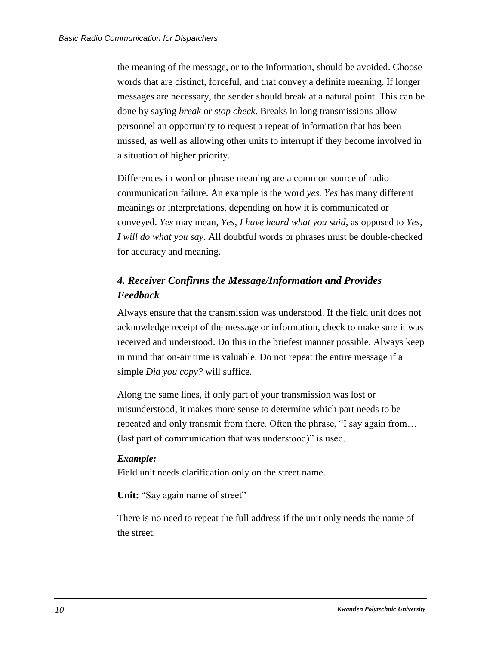the meaning of the message, or to the information, should be avoided. Choose words that are distinct, forceful, and that convey a definite meaning. If longer messages are necessary, the sender should break at a natural point. This can be done by saying *break* or *stop check*. Breaks in long transmissions allow personnel an opportunity to request a repeat of information that has been missed, as well as allowing other units to interrupt if they become involved in a situation of higher priority.

Differences in word or phrase meaning are a common source of radio communication failure. An example is the word *yes. Yes* has many different meanings or interpretations, depending on how it is communicated or conveyed. *Yes* may mean, *Yes, I have heard what you said*, as opposed to *Yes, I will do what you say*. All doubtful words or phrases must be double-checked for accuracy and meaning.

# *4. Receiver Confirms the Message/Information and Provides Feedback*

Always ensure that the transmission was understood. If the field unit does not acknowledge receipt of the message or information, check to make sure it was received and understood. Do this in the briefest manner possible. Always keep in mind that on-air time is valuable. Do not repeat the entire message if a simple *Did you copy?* will suffice.

Along the same lines, if only part of your transmission was lost or misunderstood, it makes more sense to determine which part needs to be repeated and only transmit from there. Often the phrase, "I say again from… (last part of communication that was understood)" is used.

#### *Example:*

Field unit needs clarification only on the street name.

**Unit:** "Say again name of street"

There is no need to repeat the full address if the unit only needs the name of the street.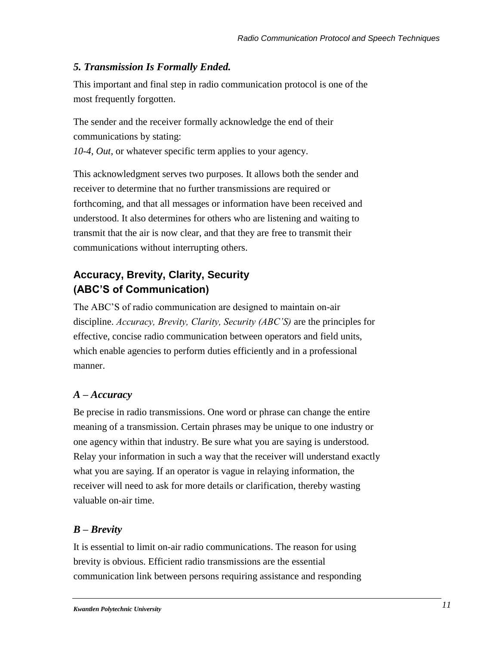# *5. Transmission Is Formally Ended.*

This important and final step in radio communication protocol is one of the most frequently forgotten.

The sender and the receiver formally acknowledge the end of their communications by stating:

*10-4*, *Out,* or whatever specific term applies to your agency.

This acknowledgment serves two purposes. It allows both the sender and receiver to determine that no further transmissions are required or forthcoming, and that all messages or information have been received and understood. It also determines for others who are listening and waiting to transmit that the air is now clear, and that they are free to transmit their communications without interrupting others.

# <span id="page-17-0"></span>**Accuracy, Brevity, Clarity, Security (ABC'S of Communication)**

The ABC'S of radio communication are designed to maintain on-air discipline. *Accuracy, Brevity, Clarity, Security (ABC'S)* are the principles for effective, concise radio communication between operators and field units, which enable agencies to perform duties efficiently and in a professional manner.

### *A – Accuracy*

Be precise in radio transmissions. One word or phrase can change the entire meaning of a transmission. Certain phrases may be unique to one industry or one agency within that industry. Be sure what you are saying is understood. Relay your information in such a way that the receiver will understand exactly what you are saying. If an operator is vague in relaying information, the receiver will need to ask for more details or clarification, thereby wasting valuable on-air time.

# *B – Brevity*

It is essential to limit on-air radio communications. The reason for using brevity is obvious. Efficient radio transmissions are the essential communication link between persons requiring assistance and responding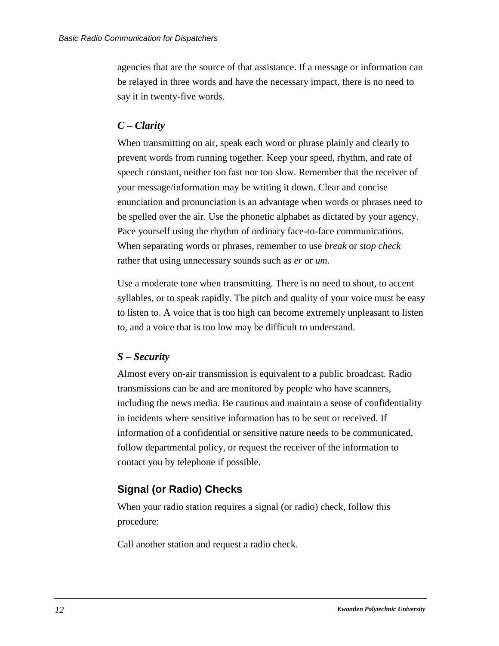agencies that are the source of that assistance. If a message or information can be relayed in three words and have the necessary impact, there is no need to say it in twenty-five words.

### *C – Clarity*

When transmitting on air, speak each word or phrase plainly and clearly to prevent words from running together. Keep your speed, rhythm, and rate of speech constant, neither too fast nor too slow. Remember that the receiver of your message/information may be writing it down. Clear and concise enunciation and pronunciation is an advantage when words or phrases need to be spelled over the air. Use the phonetic alphabet as dictated by your agency. Pace yourself using the rhythm of ordinary face-to-face communications. When separating words or phrases, remember to use *break* or *stop check* rather that using unnecessary sounds such as *er* or *um.*

Use a moderate tone when transmitting. There is no need to shout, to accent syllables, or to speak rapidly. The pitch and quality of your voice must be easy to listen to. A voice that is too high can become extremely unpleasant to listen to, and a voice that is too low may be difficult to understand.

### *S – Security*

Almost every on-air transmission is equivalent to a public broadcast. Radio transmissions can be and are monitored by people who have scanners, including the news media. Be cautious and maintain a sense of confidentiality in incidents where sensitive information has to be sent or received. If information of a confidential or sensitive nature needs to be communicated, follow departmental policy, or request the receiver of the information to contact you by telephone if possible.

# <span id="page-18-0"></span>**Signal (or Radio) Checks**

When your radio station requires a signal (or radio) check, follow this procedure:

Call another station and request a radio check.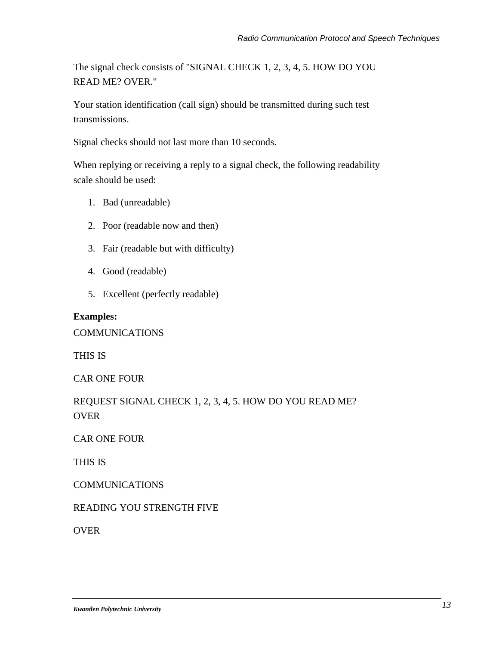The signal check consists of "SIGNAL CHECK 1, 2, 3, 4, 5. HOW DO YOU READ ME? OVER."

Your station identification (call sign) should be transmitted during such test transmissions.

Signal checks should not last more than 10 seconds.

When replying or receiving a reply to a signal check, the following readability scale should be used:

- 1. Bad (unreadable)
- 2. Poor (readable now and then)
- 3. Fair (readable but with difficulty)
- 4. Good (readable)
- 5. Excellent (perfectly readable)

#### **Examples:**

COMMUNICATIONS

THIS IS

CAR ONE FOUR

REQUEST SIGNAL CHECK 1, 2, 3, 4, 5. HOW DO YOU READ ME? OVER

CAR ONE FOUR

THIS IS

#### COMMUNICATIONS

#### READING YOU STRENGTH FIVE

**OVER**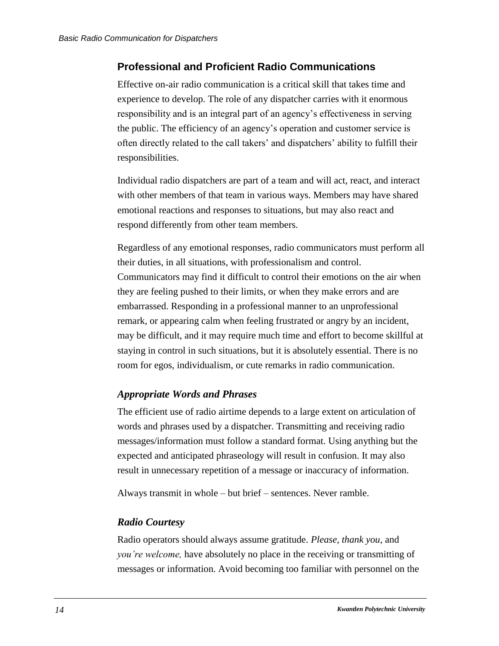# <span id="page-20-0"></span>**Professional and Proficient Radio Communications**

Effective on-air radio communication is a critical skill that takes time and experience to develop. The role of any dispatcher carries with it enormous responsibility and is an integral part of an agency's effectiveness in serving the public. The efficiency of an agency's operation and customer service is often directly related to the call takers' and dispatchers' ability to fulfill their responsibilities.

Individual radio dispatchers are part of a team and will act, react, and interact with other members of that team in various ways. Members may have shared emotional reactions and responses to situations, but may also react and respond differently from other team members.

Regardless of any emotional responses, radio communicators must perform all their duties, in all situations, with professionalism and control. Communicators may find it difficult to control their emotions on the air when they are feeling pushed to their limits, or when they make errors and are embarrassed. Responding in a professional manner to an unprofessional remark, or appearing calm when feeling frustrated or angry by an incident, may be difficult, and it may require much time and effort to become skillful at staying in control in such situations, but it is absolutely essential. There is no room for egos, individualism, or cute remarks in radio communication.

# *Appropriate Words and Phrases*

The efficient use of radio airtime depends to a large extent on articulation of words and phrases used by a dispatcher. Transmitting and receiving radio messages/information must follow a standard format. Using anything but the expected and anticipated phraseology will result in confusion. It may also result in unnecessary repetition of a message or inaccuracy of information.

Always transmit in whole – but brief – sentences. Never ramble.

# *Radio Courtesy*

Radio operators should always assume gratitude. *Please, thank you,* and *you're welcome,* have absolutely no place in the receiving or transmitting of messages or information. Avoid becoming too familiar with personnel on the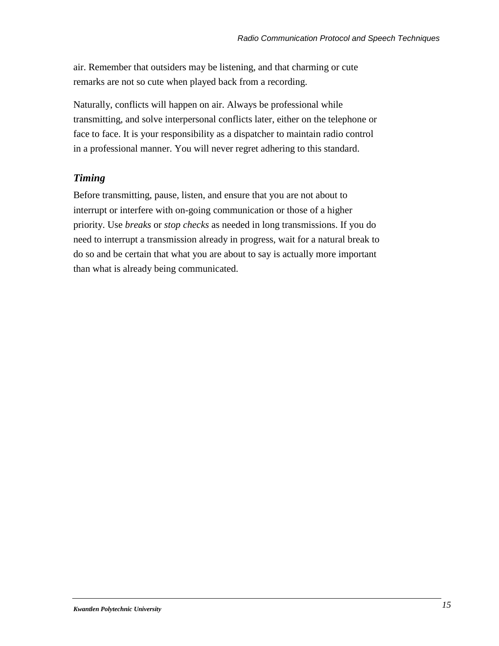air. Remember that outsiders may be listening, and that charming or cute remarks are not so cute when played back from a recording.

Naturally, conflicts will happen on air. Always be professional while transmitting, and solve interpersonal conflicts later, either on the telephone or face to face. It is your responsibility as a dispatcher to maintain radio control in a professional manner. You will never regret adhering to this standard.

### *Timing*

Before transmitting, pause, listen, and ensure that you are not about to interrupt or interfere with on-going communication or those of a higher priority. Use *breaks* or *stop checks* as needed in long transmissions. If you do need to interrupt a transmission already in progress, wait for a natural break to do so and be certain that what you are about to say is actually more important than what is already being communicated.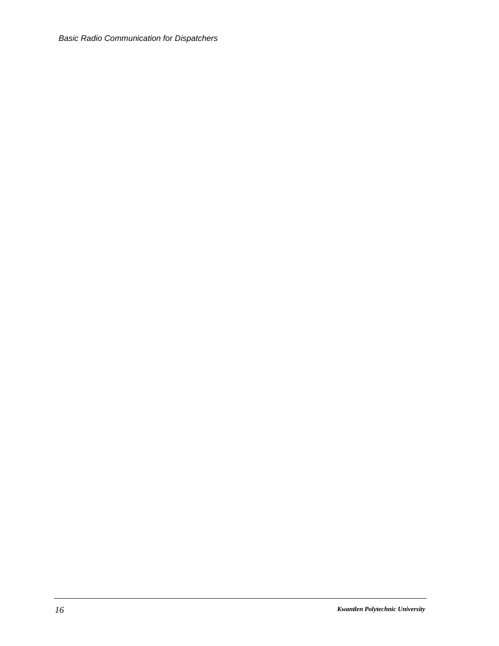*Basic Radio Communication for Dispatchers*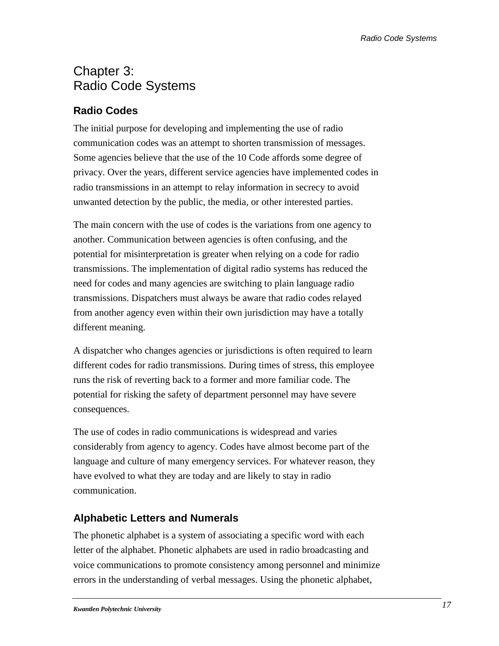# <span id="page-23-0"></span>Chapter 3: Radio Code Systems

# <span id="page-23-1"></span>**Radio Codes**

The initial purpose for developing and implementing the use of radio communication codes was an attempt to shorten transmission of messages. Some agencies believe that the use of the 10 Code affords some degree of privacy. Over the years, different service agencies have implemented codes in radio transmissions in an attempt to relay information in secrecy to avoid unwanted detection by the public, the media, or other interested parties.

The main concern with the use of codes is the variations from one agency to another. Communication between agencies is often confusing, and the potential for misinterpretation is greater when relying on a code for radio transmissions. The implementation of digital radio systems has reduced the need for codes and many agencies are switching to plain language radio transmissions. Dispatchers must always be aware that radio codes relayed from another agency even within their own jurisdiction may have a totally different meaning.

A dispatcher who changes agencies or jurisdictions is often required to learn different codes for radio transmissions. During times of stress, this employee runs the risk of reverting back to a former and more familiar code. The potential for risking the safety of department personnel may have severe consequences.

The use of codes in radio communications is widespread and varies considerably from agency to agency. Codes have almost become part of the language and culture of many emergency services. For whatever reason, they have evolved to what they are today and are likely to stay in radio communication.

# <span id="page-23-2"></span>**Alphabetic Letters and Numerals**

The phonetic alphabet is a system of associating a specific word with each letter of the alphabet. Phonetic alphabets are used in radio broadcasting and voice communications to promote consistency among personnel and minimize errors in the understanding of verbal messages. Using the phonetic alphabet,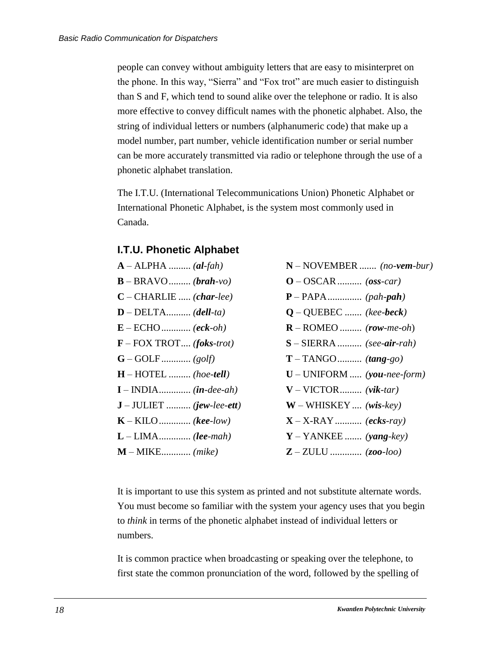people can convey without ambiguity letters that are easy to misinterpret on the phone. In this way, "Sierra" and "Fox trot" are much easier to distinguish than S and F, which tend to sound alike over the telephone or radio. It is also more effective to convey difficult names with the phonetic alphabet. Also, the string of individual letters or numbers (alphanumeric code) that make up a model number, part number, vehicle identification number or serial number can be more accurately transmitted via radio or telephone through the use of a phonetic alphabet translation.

The I.T.U. (International Telecommunications Union) Phonetic Alphabet or International Phonetic Alphabet, is the system most commonly used in Canada.

# <span id="page-24-0"></span>**I.T.U. Phonetic Alphabet**

| $A - ALPHA$ (al-fah)        |
|-----------------------------|
| $B - BRAVO$ (brah-vo)       |
| $C$ – CHARLIE  (char-lee)   |
| $D$ – DELTA (dell-ta)       |
|                             |
| $F - FOX TROT$ (foks-trot)  |
|                             |
| $H - HOTEL$ (hoe-tell)      |
| $I - INDIA$ (in-dee-ah)     |
| $J$ – JULIET  (jew-lee-ett) |
|                             |
|                             |
| $M$ – MIKE (mike)           |

| $N - NOVEMBER$ (no-vem-bur)    |
|--------------------------------|
| $O$ – OSCAR  (oss-car)         |
|                                |
| $Q$ – QUEBEC  (kee-beck)       |
| $R - \text{ROMEO}$ (row-me-oh) |
| $S-SIERRA$ (see-air-rah)       |
| $T - TANGO$ (tang-go)          |
| $U$ – UNIFORM  (you-nee-form)  |
| $V - VICTOR$ (vik-tar)         |
| $W$ – WHISKEY  (wis-key)       |
| $X - X-RAY$ (ecks-ray)         |
| $Y - YANKEE$ (yang-key)        |
|                                |

It is important to use this system as printed and not substitute alternate words. You must become so familiar with the system your agency uses that you begin to *think* in terms of the phonetic alphabet instead of individual letters or numbers.

It is common practice when broadcasting or speaking over the telephone, to first state the common pronunciation of the word, followed by the spelling of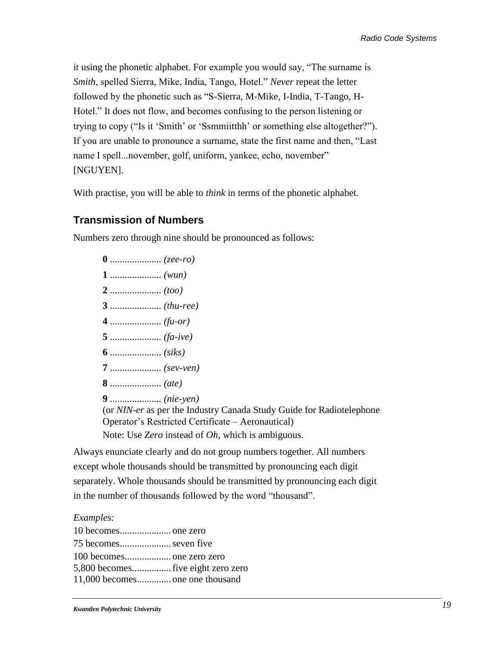it using the phonetic alphabet. For example you would say, "The surname is *Smith*, spelled Sierra, Mike, India, Tango, Hotel." *Never* repeat the letter followed by the phonetic such as "S-Sierra, M-Mike, I-India, T-Tango, H-Hotel." It does not flow, and becomes confusing to the person listening or trying to copy ("Is it 'Smith' or 'Ssmmiitthh' or something else altogether?"). If you are unable to pronounce a surname, state the first name and then, "Last name I spell...november, golf, uniform, yankee, echo, november" [NGUYEN].

With practise, you will be able to *think* in terms of the phonetic alphabet.

# <span id="page-25-0"></span>**Transmission of Numbers**

Numbers zero through nine should be pronounced as follows:

..................... *(zee-ro)* ..................... *(wun)* ..................... *(too)* ..................... *(thu-ree)* ..................... *(fu-or)* ..................... *(fa-ive)* ..................... *(siks)* ..................... *(sev-ven)* ..................... *(ate)* ..................... *(nie-yen)* (or *NIN-er* as per the Industry Canada Study Guide for Radiotelephone Operator's Restricted Certificate – Aeronautical) Note: Use *Zero* instead of *Oh,* which is ambiguous.

Always enunciate clearly and do not group numbers together. All numbers except whole thousands should be transmitted by pronouncing each digit separately. Whole thousands should be transmitted by pronouncing each digit in the number of thousands followed by the word "thousand".

*Examples:*

| 5,800 becomes five eight zero zero |  |
|------------------------------------|--|
|                                    |  |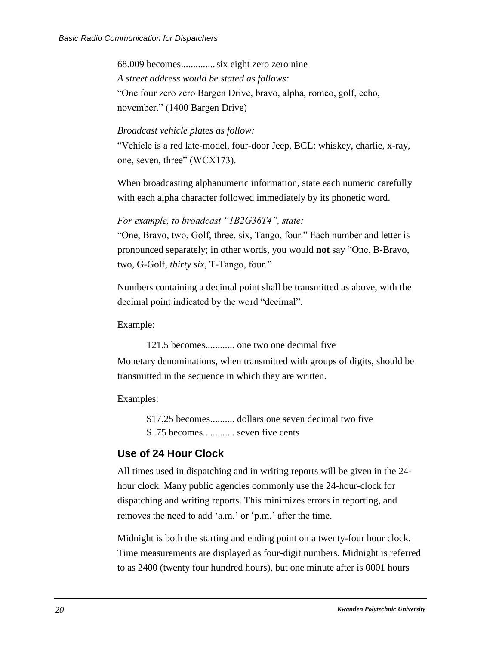68.009 becomes..............six eight zero zero nine *A street address would be stated as follows:* "One four zero zero Bargen Drive, bravo, alpha, romeo, golf, echo, november." (1400 Bargen Drive)

#### *Broadcast vehicle plates as follow:*

"Vehicle is a red late-model, four-door Jeep, BCL: whiskey, charlie, x-ray, one, seven, three" (WCX173).

When broadcasting alphanumeric information, state each numeric carefully with each alpha character followed immediately by its phonetic word.

#### *For example, to broadcast "1B2G36T4", state:*

"One, Bravo, two, Golf, three, six, Tango, four." Each number and letter is pronounced separately; in other words, you would **not** say "One, B-Bravo, two, G-Golf, *thirty six*, T-Tango, four."

Numbers containing a decimal point shall be transmitted as above, with the decimal point indicated by the word "decimal".

Example:

121.5 becomes............ one two one decimal five Monetary denominations, when transmitted with groups of digits, should be transmitted in the sequence in which they are written.

Examples:

\$17.25 becomes.......... dollars one seven decimal two five \$ .75 becomes............. seven five cents

# <span id="page-26-0"></span>**Use of 24 Hour Clock**

All times used in dispatching and in writing reports will be given in the 24 hour clock. Many public agencies commonly use the 24-hour-clock for dispatching and writing reports. This minimizes errors in reporting, and removes the need to add 'a.m.' or 'p.m.' after the time.

Midnight is both the starting and ending point on a twenty-four hour clock. Time measurements are displayed as four-digit numbers. Midnight is referred to as 2400 (twenty four hundred hours), but one minute after is 0001 hours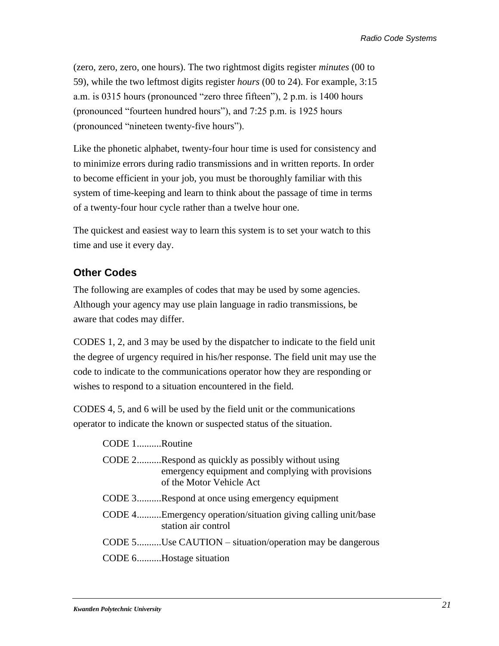(zero, zero, zero, one hours). The two rightmost digits register *minutes* (00 to 59), while the two leftmost digits register *hours* (00 to 24). For example, 3:15 a.m. is 0315 hours (pronounced "zero three fifteen"), 2 p.m. is 1400 hours (pronounced "fourteen hundred hours"), and 7:25 p.m. is 1925 hours (pronounced "nineteen twenty-five hours").

Like the phonetic alphabet, twenty-four hour time is used for consistency and to minimize errors during radio transmissions and in written reports. In order to become efficient in your job, you must be thoroughly familiar with this system of time-keeping and learn to think about the passage of time in terms of a twenty-four hour cycle rather than a twelve hour one.

The quickest and easiest way to learn this system is to set your watch to this time and use it every day.

# <span id="page-27-0"></span>**Other Codes**

The following are examples of codes that may be used by some agencies. Although your agency may use plain language in radio transmissions, be aware that codes may differ.

CODES 1, 2, and 3 may be used by the dispatcher to indicate to the field unit the degree of urgency required in his/her response. The field unit may use the code to indicate to the communications operator how they are responding or wishes to respond to a situation encountered in the field.

CODES 4, 5, and 6 will be used by the field unit or the communications operator to indicate the known or suspected status of the situation.

| CODE 1Routine |                                                                                                                                     |
|---------------|-------------------------------------------------------------------------------------------------------------------------------------|
|               | CODE 2Respond as quickly as possibly without using<br>emergency equipment and complying with provisions<br>of the Motor Vehicle Act |
|               | CODE 3Respond at once using emergency equipment                                                                                     |
|               | CODE 4Emergency operation/situation giving calling unit/base<br>station air control                                                 |
|               | CODE 5Use CAUTION – situation/operation may be dangerous                                                                            |
|               | CODE 6Hostage situation                                                                                                             |
|               |                                                                                                                                     |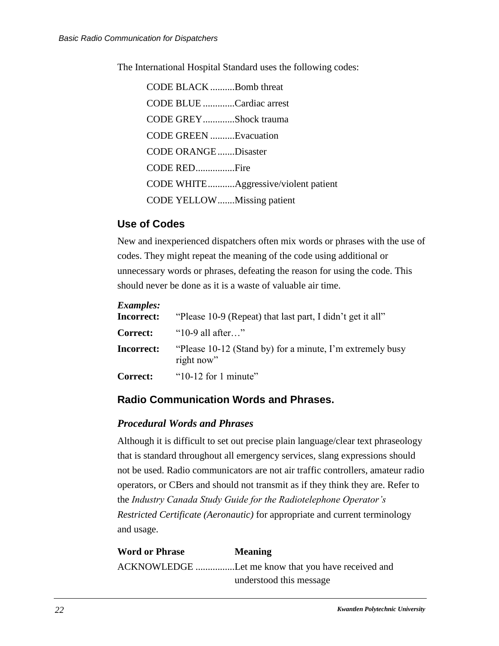The International Hospital Standard uses the following codes:

CODE BLACK ..........Bomb threat CODE BLUE .............Cardiac arrest CODE GREY.............Shock trauma CODE GREEN ..........Evacuation CODE ORANGE.......Disaster CODE RED................Fire CODE WHITE...........Aggressive/violent patient CODE YELLOW.......Missing patient

### <span id="page-28-0"></span>**Use of Codes**

New and inexperienced dispatchers often mix words or phrases with the use of codes. They might repeat the meaning of the code using additional or unnecessary words or phrases, defeating the reason for using the code. This should never be done as it is a waste of valuable air time.

#### *Examples:*

| <b>Incorrect:</b> | "Please 10-9 (Repeat) that last part, I didn't get it all"              |
|-------------------|-------------------------------------------------------------------------|
| <b>Correct:</b>   | " $10-9$ all after"                                                     |
| <b>Incorrect:</b> | "Please 10-12 (Stand by) for a minute, I'm extremely busy<br>right now" |
| Correct:          | " $10-12$ for 1 minute"                                                 |

# <span id="page-28-1"></span>**Radio Communication Words and Phrases.**

### *Procedural Words and Phrases*

Although it is difficult to set out precise plain language/clear text phraseology that is standard throughout all emergency services, slang expressions should not be used. Radio communicators are not air traffic controllers, amateur radio operators, or CBers and should not transmit as if they think they are. Refer to the *Industry Canada Study Guide for the Radiotelephone Operator's Restricted Certificate (Aeronautic)* for appropriate and current terminology and usage.

| <b>Word or Phrase</b> | <b>Meaning</b>                                     |
|-----------------------|----------------------------------------------------|
|                       | ACKNOWLEDGE Let me know that you have received and |
|                       | understood this message                            |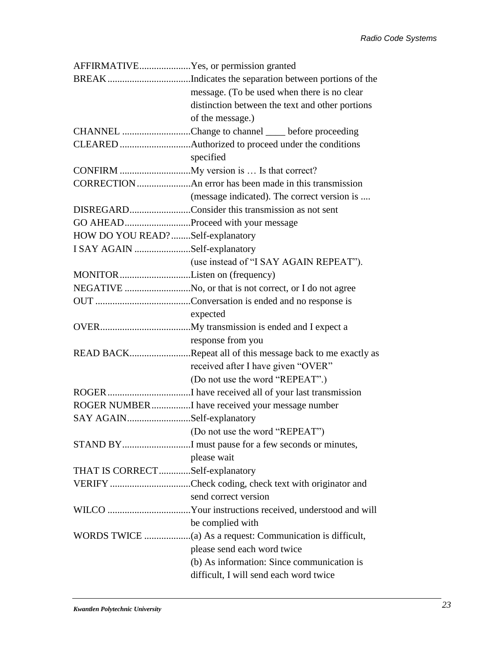| AFFIRMATIVEYes, or permission granted |                                                                                      |
|---------------------------------------|--------------------------------------------------------------------------------------|
|                                       | BREAKIndicates the separation between portions of the                                |
|                                       | message. (To be used when there is no clear                                          |
|                                       | distinction between the text and other portions                                      |
|                                       | of the message.)                                                                     |
|                                       | CHANNEL Change to channel _____ before proceeding                                    |
|                                       |                                                                                      |
|                                       | specified                                                                            |
|                                       |                                                                                      |
|                                       |                                                                                      |
|                                       | (message indicated). The correct version is                                          |
|                                       | DISREGARDConsider this transmission as not sent                                      |
| GO AHEADProceed with your message     |                                                                                      |
| HOW DO YOU READ?Self-explanatory      |                                                                                      |
| I SAY AGAIN Self-explanatory          |                                                                                      |
|                                       | (use instead of "I SAY AGAIN REPEAT").                                               |
| MONITOR Listen on (frequency)         |                                                                                      |
|                                       |                                                                                      |
|                                       |                                                                                      |
|                                       | expected                                                                             |
|                                       |                                                                                      |
|                                       |                                                                                      |
|                                       | response from you                                                                    |
|                                       | READ BACKRepeat all of this message back to me exactly as                            |
|                                       | received after I have given "OVER"                                                   |
|                                       | (Do not use the word "REPEAT".)                                                      |
|                                       |                                                                                      |
|                                       | ROGER NUMBERI have received your message number                                      |
| SAY AGAINSelf-explanatory             |                                                                                      |
|                                       | (Do not use the word "REPEAT")                                                       |
|                                       | STAND BYI must pause for a few seconds or minutes,                                   |
|                                       | please wait                                                                          |
| THAT IS CORRECTSelf-explanatory       |                                                                                      |
|                                       | VERIFY Check coding, check text with originator and                                  |
|                                       | send correct version                                                                 |
|                                       | WILCO Your instructions received, understood and will                                |
|                                       | be complied with                                                                     |
|                                       |                                                                                      |
|                                       | please send each word twice                                                          |
|                                       | (b) As information: Since communication is<br>difficult, I will send each word twice |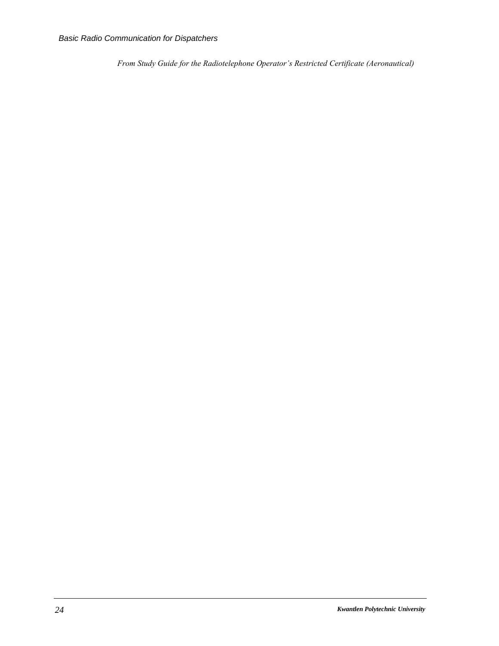### *Basic Radio Communication for Dispatchers*

*From Study Guide for the Radiotelephone Operator's Restricted Certificate (Aeronautical)*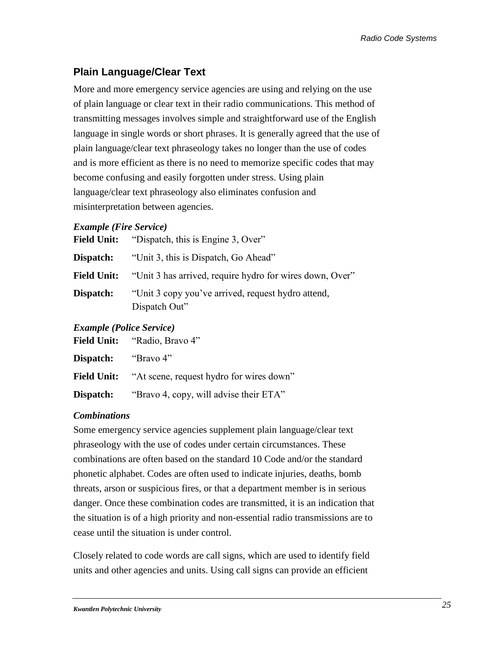# <span id="page-31-0"></span>**Plain Language/Clear Text**

More and more emergency service agencies are using and relying on the use of plain language or clear text in their radio communications. This method of transmitting messages involves simple and straightforward use of the English language in single words or short phrases. It is generally agreed that the use of plain language/clear text phraseology takes no longer than the use of codes and is more efficient as there is no need to memorize specific codes that may become confusing and easily forgotten under stress. Using plain language/clear text phraseology also eliminates confusion and misinterpretation between agencies.

# *Example (Fire Service)*

| <b>Field Unit:</b> | "Dispatch, this is Engine 3, Over"                                  |
|--------------------|---------------------------------------------------------------------|
| Dispatch:          | "Unit 3, this is Dispatch, Go Ahead"                                |
| <b>Field Unit:</b> | "Unit 3 has arrived, require hydro for wires down, Over"            |
| Dispatch:          | "Unit 3 copy you've arrived, request hydro attend,<br>Dispatch Out" |

# *Example (Police Service)*

|                            | <b>Field Unit:</b> "Radio, Bravo 4"                         |
|----------------------------|-------------------------------------------------------------|
| <b>Dispatch:</b> "Bravo 4" |                                                             |
|                            | <b>Field Unit:</b> "At scene, request hydro for wires down" |
|                            | <b>Dispatch:</b> "Bravo 4, copy, will advise their ETA"     |

# *Combinations*

Some emergency service agencies supplement plain language/clear text phraseology with the use of codes under certain circumstances. These combinations are often based on the standard 10 Code and/or the standard phonetic alphabet. Codes are often used to indicate injuries, deaths, bomb threats, arson or suspicious fires, or that a department member is in serious danger. Once these combination codes are transmitted, it is an indication that the situation is of a high priority and non-essential radio transmissions are to cease until the situation is under control.

Closely related to code words are call signs, which are used to identify field units and other agencies and units. Using call signs can provide an efficient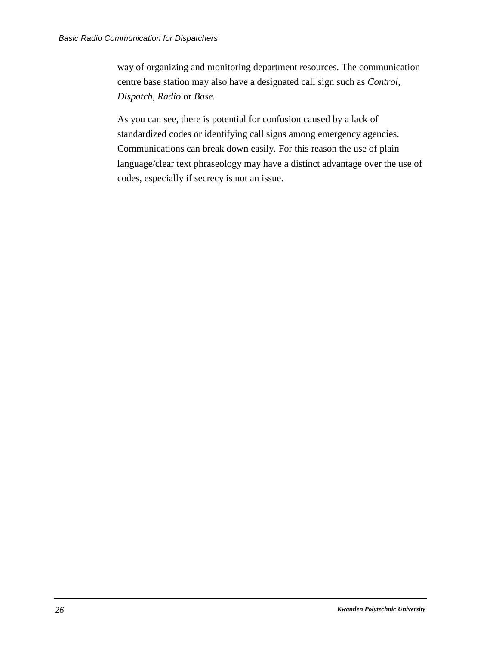way of organizing and monitoring department resources. The communication centre base station may also have a designated call sign such as *Control, Dispatch, Radio* or *Base.*

As you can see, there is potential for confusion caused by a lack of standardized codes or identifying call signs among emergency agencies. Communications can break down easily. For this reason the use of plain language/clear text phraseology may have a distinct advantage over the use of codes, especially if secrecy is not an issue.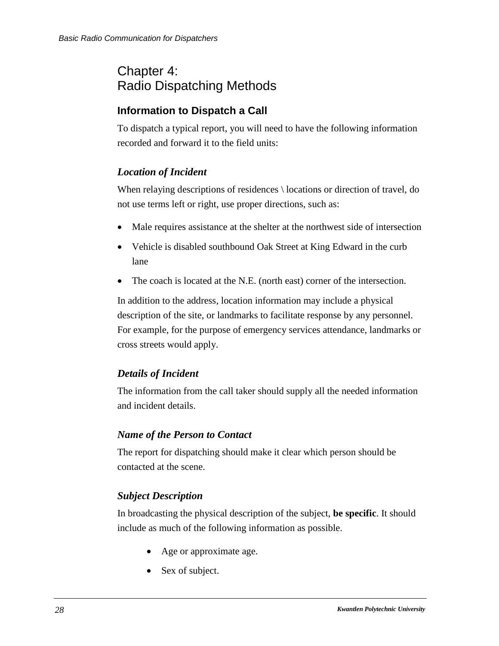# <span id="page-34-0"></span>Chapter 4: Radio Dispatching Methods

# <span id="page-34-1"></span>**Information to Dispatch a Call**

To dispatch a typical report, you will need to have the following information recorded and forward it to the field units:

# *Location of Incident*

When relaying descriptions of residences \ locations or direction of travel, do not use terms left or right, use proper directions, such as:

- Male requires assistance at the shelter at the northwest side of intersection
- Vehicle is disabled southbound Oak Street at King Edward in the curb lane
- The coach is located at the N.E. (north east) corner of the intersection.

In addition to the address, location information may include a physical description of the site, or landmarks to facilitate response by any personnel. For example, for the purpose of emergency services attendance, landmarks or cross streets would apply.

# *Details of Incident*

The information from the call taker should supply all the needed information and incident details.

# *Name of the Person to Contact*

The report for dispatching should make it clear which person should be contacted at the scene.

# *Subject Description*

In broadcasting the physical description of the subject, **be specific**. It should include as much of the following information as possible.

- Age or approximate age.
- Sex of subject.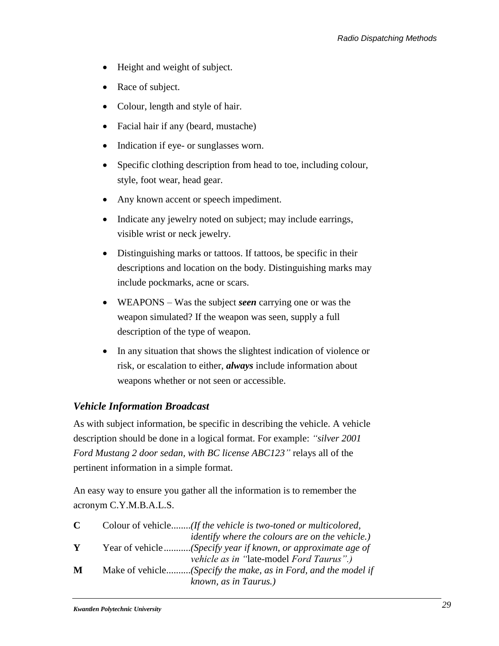- Height and weight of subject.
- Race of subject.
- Colour, length and style of hair.
- Facial hair if any (beard, mustache)
- Indication if eye- or sunglasses worn.
- Specific clothing description from head to toe, including colour, style, foot wear, head gear.
- Any known accent or speech impediment.
- Indicate any jewelry noted on subject; may include earrings, visible wrist or neck jewelry.
- Distinguishing marks or tattoos. If tattoos, be specific in their descriptions and location on the body. Distinguishing marks may include pockmarks, acne or scars.
- WEAPONS Was the subject *seen* carrying one or was the weapon simulated? If the weapon was seen, supply a full description of the type of weapon.
- In any situation that shows the slightest indication of violence or risk, or escalation to either, *always* include information about weapons whether or not seen or accessible.

# *Vehicle Information Broadcast*

As with subject information, be specific in describing the vehicle. A vehicle description should be done in a logical format. For example: *"silver 2001 Ford Mustang 2 door sedan, with BC license ABC123"* relays all of the pertinent information in a simple format.

An easy way to ensure you gather all the information is to remember the acronym C.Y.M.B.A.L.S.

| Colour of vehicle(If the vehicle is two-toned or multicolored, |
|----------------------------------------------------------------|
| <i>identify</i> where the colours are on the vehicle.)         |
| Year of vehicle(Specify year if known, or approximate age of   |
| <i>vehicle as in "late-model Ford Taurus".)</i>                |
| Make of vehicle(Specify the make, as in Ford, and the model if |
| known, as in Taurus.)                                          |
|                                                                |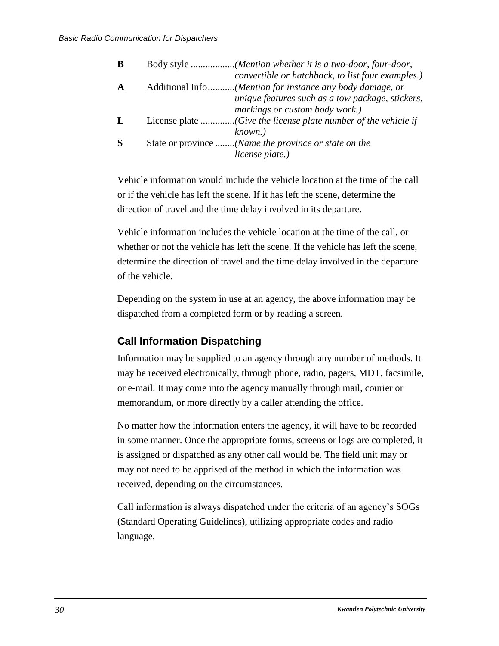| B           |                                                                                    |
|-------------|------------------------------------------------------------------------------------|
|             | convertible or hatchback, to list four examples.)                                  |
| $\mathbf A$ | Additional Info(Mention for instance any body damage, or                           |
|             | unique features such as a tow package, stickers,<br>markings or custom body work.) |
| L           | known.)                                                                            |
| S           | State or province (Name the province or state on the<br>license plate.)            |
|             |                                                                                    |

Vehicle information would include the vehicle location at the time of the call or if the vehicle has left the scene. If it has left the scene, determine the direction of travel and the time delay involved in its departure.

Vehicle information includes the vehicle location at the time of the call, or whether or not the vehicle has left the scene. If the vehicle has left the scene, determine the direction of travel and the time delay involved in the departure of the vehicle.

Depending on the system in use at an agency, the above information may be dispatched from a completed form or by reading a screen.

# <span id="page-36-0"></span>**Call Information Dispatching**

Information may be supplied to an agency through any number of methods. It may be received electronically, through phone, radio, pagers, MDT, facsimile, or e-mail. It may come into the agency manually through mail, courier or memorandum, or more directly by a caller attending the office.

No matter how the information enters the agency, it will have to be recorded in some manner. Once the appropriate forms, screens or logs are completed, it is assigned or dispatched as any other call would be. The field unit may or may not need to be apprised of the method in which the information was received, depending on the circumstances.

Call information is always dispatched under the criteria of an agency's SOGs (Standard Operating Guidelines), utilizing appropriate codes and radio language.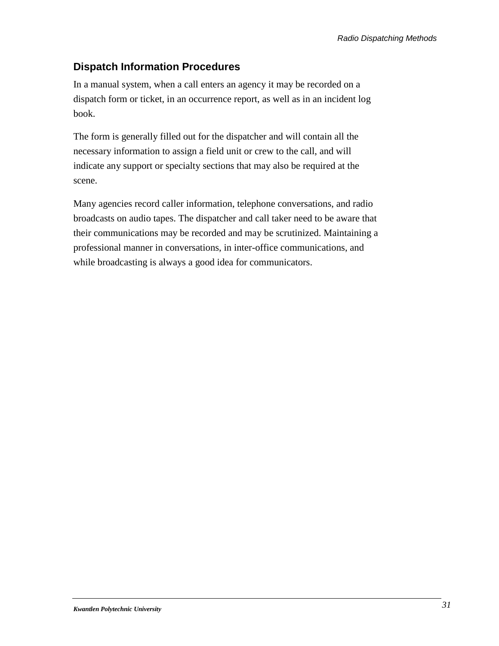# <span id="page-37-0"></span>**Dispatch Information Procedures**

In a manual system, when a call enters an agency it may be recorded on a dispatch form or ticket, in an occurrence report, as well as in an incident log book.

The form is generally filled out for the dispatcher and will contain all the necessary information to assign a field unit or crew to the call, and will indicate any support or specialty sections that may also be required at the scene.

Many agencies record caller information, telephone conversations, and radio broadcasts on audio tapes. The dispatcher and call taker need to be aware that their communications may be recorded and may be scrutinized. Maintaining a professional manner in conversations, in inter-office communications, and while broadcasting is always a good idea for communicators.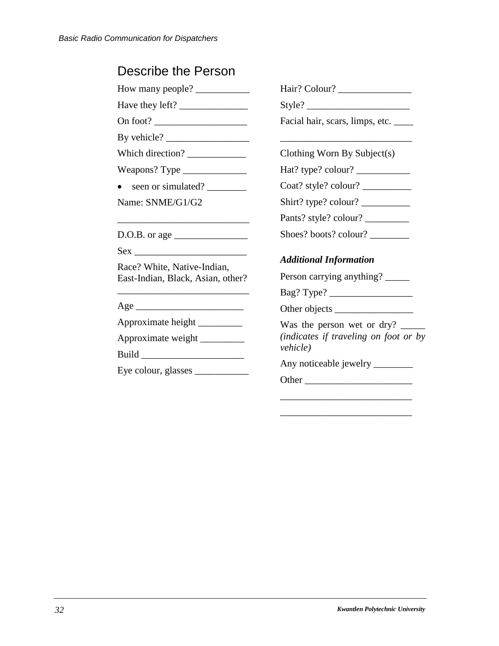# <span id="page-38-0"></span>Describe the Person

| On foot?                                                                                                                                                                                                                                                                                                                                                                                                                                     | Facial hair, scars, limps, etc.                                                                                             |  |
|----------------------------------------------------------------------------------------------------------------------------------------------------------------------------------------------------------------------------------------------------------------------------------------------------------------------------------------------------------------------------------------------------------------------------------------------|-----------------------------------------------------------------------------------------------------------------------------|--|
| By vehicle? $\frac{1}{\frac{1}{2} \cdot \frac{1}{2} \cdot \frac{1}{2} \cdot \frac{1}{2} \cdot \frac{1}{2} \cdot \frac{1}{2} \cdot \frac{1}{2} \cdot \frac{1}{2} \cdot \frac{1}{2} \cdot \frac{1}{2} \cdot \frac{1}{2} \cdot \frac{1}{2} \cdot \frac{1}{2} \cdot \frac{1}{2} \cdot \frac{1}{2} \cdot \frac{1}{2} \cdot \frac{1}{2} \cdot \frac{1}{2} \cdot \frac{1}{2} \cdot \frac{1}{2} \cdot \frac{1}{2} \cdot \frac{1}{2} \cdot \frac{1}{$ |                                                                                                                             |  |
| Which direction?                                                                                                                                                                                                                                                                                                                                                                                                                             | Clothing Worn By Subject(s)                                                                                                 |  |
|                                                                                                                                                                                                                                                                                                                                                                                                                                              |                                                                                                                             |  |
|                                                                                                                                                                                                                                                                                                                                                                                                                                              |                                                                                                                             |  |
| Name: SNME/G1/G2                                                                                                                                                                                                                                                                                                                                                                                                                             | Shirt? type? colour?                                                                                                        |  |
| <u> 1989 - Johann John Stone, markin biskup fan it fjort fan it fjort fan it fjort fan it fjort fan it fjort fan </u>                                                                                                                                                                                                                                                                                                                        | Pants? style? colour?                                                                                                       |  |
| D.O.B. or age $\_\_\_\_\_\_\_\_\_\_\_\_\_\_\_\_\_\_\_\_\_$                                                                                                                                                                                                                                                                                                                                                                                   | Shoes? boots? colour?                                                                                                       |  |
| Race? White, Native-Indian,<br>East-Indian, Black, Asian, other?                                                                                                                                                                                                                                                                                                                                                                             | <b>Additional Information</b><br>Person carrying anything?                                                                  |  |
|                                                                                                                                                                                                                                                                                                                                                                                                                                              |                                                                                                                             |  |
| Approximate height __________<br>Approximate weight __________                                                                                                                                                                                                                                                                                                                                                                               | Was the person wet or dry?<br>(indicates if traveling on foot or by<br><i>vehicle</i> )<br>Any noticeable jewelry _________ |  |
|                                                                                                                                                                                                                                                                                                                                                                                                                                              |                                                                                                                             |  |

\_\_\_\_\_\_\_\_\_\_\_\_\_\_\_\_\_\_\_\_\_\_\_\_\_\_\_